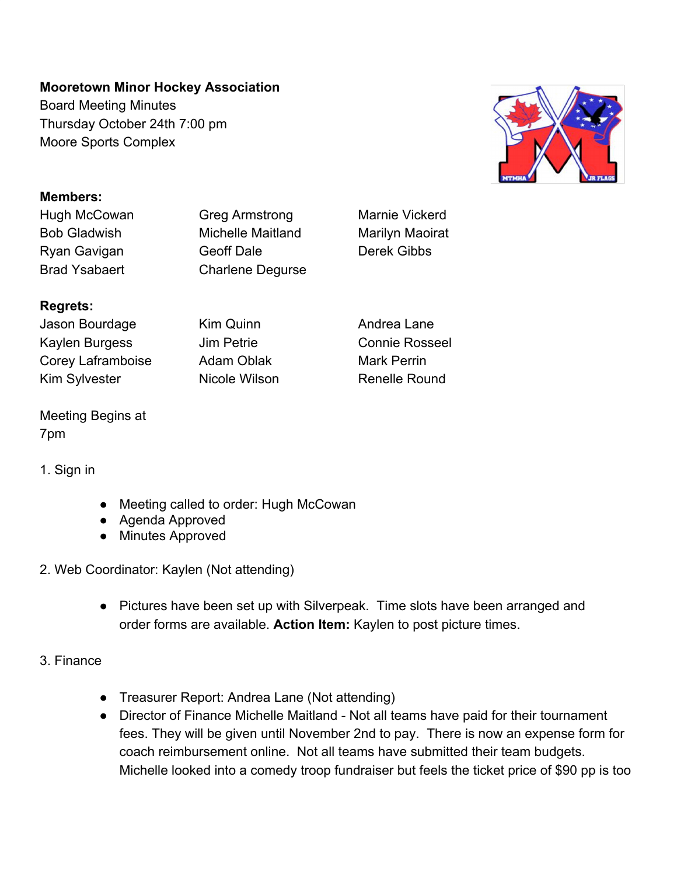# **Mooretown Minor Hockey Association**

Board Meeting Minutes Thursday October 24th 7:00 pm Moore Sports Complex



#### **Members:**

Hugh McCowan Greg Armstrong Marnie Vickerd

Bob Gladwish Michelle Maitland Marilyn Maoirat Ryan Gavigan Geoff Dale Derek Gibbs Brad Ysabaert Charlene Degurse

# **Regrets:**

Jason Bourdage Kim Quinn **Andrea Lane** Kaylen Burgess **Jim Petrie** Connie Rosseel Corey Laframboise Adam Oblak Mark Perrin Kim Sylvester **Nicole Wilson** Renelle Round

# Meeting Begins at 7pm

## 1. Sign in

- Meeting called to order: Hugh McCowan
- Agenda Approved
- Minutes Approved
- 2. Web Coordinator: Kaylen (Not attending)
	- Pictures have been set up with Silverpeak. Time slots have been arranged and order forms are available. **Action Item:** Kaylen to post picture times.

## 3. Finance

- Treasurer Report: Andrea Lane (Not attending)
- Director of Finance Michelle Maitland Not all teams have paid for their tournament fees. They will be given until November 2nd to pay. There is now an expense form for coach reimbursement online. Not all teams have submitted their team budgets. Michelle looked into a comedy troop fundraiser but feels the ticket price of \$90 pp is too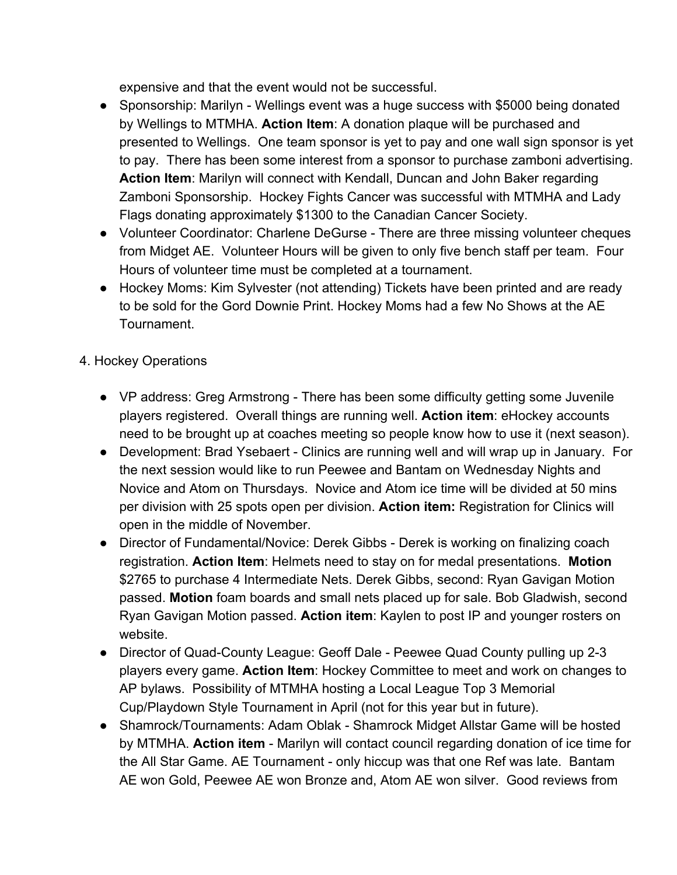expensive and that the event would not be successful.

- Sponsorship: Marilyn Wellings event was a huge success with \$5000 being donated by Wellings to MTMHA. **Action Item**: A donation plaque will be purchased and presented to Wellings. One team sponsor is yet to pay and one wall sign sponsor is yet to pay. There has been some interest from a sponsor to purchase zamboni advertising. **Action Item**: Marilyn will connect with Kendall, Duncan and John Baker regarding Zamboni Sponsorship. Hockey Fights Cancer was successful with MTMHA and Lady Flags donating approximately \$1300 to the Canadian Cancer Society.
- Volunteer Coordinator: Charlene DeGurse There are three missing volunteer cheques from Midget AE. Volunteer Hours will be given to only five bench staff per team. Four Hours of volunteer time must be completed at a tournament.
- Hockey Moms: Kim Sylvester (not attending) Tickets have been printed and are ready to be sold for the Gord Downie Print. Hockey Moms had a few No Shows at the AE Tournament.
- 4. Hockey Operations
	- VP address: Greg Armstrong There has been some difficulty getting some Juvenile players registered. Overall things are running well. **Action item**: eHockey accounts need to be brought up at coaches meeting so people know how to use it (next season).
	- Development: Brad Ysebaert Clinics are running well and will wrap up in January. For the next session would like to run Peewee and Bantam on Wednesday Nights and Novice and Atom on Thursdays. Novice and Atom ice time will be divided at 50 mins per division with 25 spots open per division. **Action item:** Registration for Clinics will open in the middle of November.
	- Director of Fundamental/Novice: Derek Gibbs Derek is working on finalizing coach registration. **Action Item**: Helmets need to stay on for medal presentations. **Motion** \$2765 to purchase 4 Intermediate Nets. Derek Gibbs, second: Ryan Gavigan Motion passed. **Motion** foam boards and small nets placed up for sale. Bob Gladwish, second Ryan Gavigan Motion passed. **Action item**: Kaylen to post IP and younger rosters on website.
	- Director of Quad-County League: Geoff Dale Peewee Quad County pulling up 2-3 players every game. **Action Item**: Hockey Committee to meet and work on changes to AP bylaws. Possibility of MTMHA hosting a Local League Top 3 Memorial Cup/Playdown Style Tournament in April (not for this year but in future).
	- Shamrock/Tournaments: Adam Oblak Shamrock Midget Allstar Game will be hosted by MTMHA. **Action item** - Marilyn will contact council regarding donation of ice time for the All Star Game. AE Tournament - only hiccup was that one Ref was late. Bantam AE won Gold, Peewee AE won Bronze and, Atom AE won silver. Good reviews from